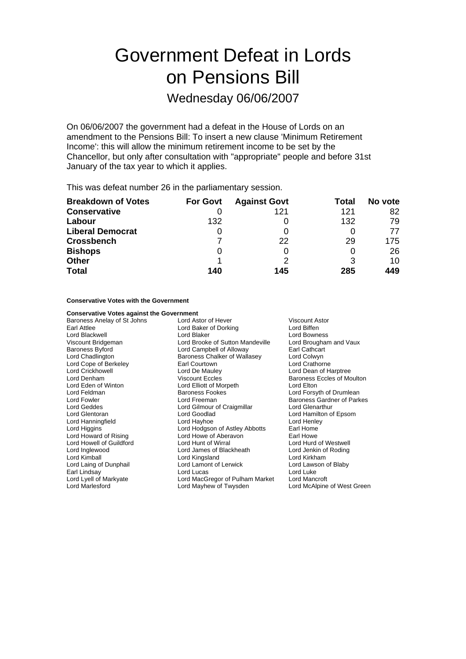# Government Defeat in Lords on Pensions Bill

Wednesday 06/06/2007

On 06/06/2007 the government had a defeat in the House of Lords on an amendment to the Pensions Bill: To insert a new clause 'Minimum Retirement Income': this will allow the minimum retirement income to be set by the Chancellor, but only after consultation with "appropriate" people and before 31st January of the tax year to which it applies.

This was defeat number 26 in the parliamentary session.

| <b>Breakdown of Votes</b> | <b>For Govt</b> | <b>Against Govt</b> | Total | No vote |
|---------------------------|-----------------|---------------------|-------|---------|
| <b>Conservative</b>       |                 | 121                 | 121   | 82      |
| Labour                    | 132             |                     | 132   | 79      |
| <b>Liberal Democrat</b>   | O               |                     |       | 77      |
| <b>Crossbench</b>         |                 | 22                  | 29    | 175     |
| <b>Bishops</b>            | O               |                     |       | 26      |
| <b>Other</b>              |                 |                     | 3     | 10      |
| <b>Total</b>              | 140             | 145                 | 285   | 449     |

**Conservative Votes with the Government**

| <b>Conservative Votes against the Government</b> |                                       |                                   |
|--------------------------------------------------|---------------------------------------|-----------------------------------|
| Baroness Anelay of St Johns                      | Lord Astor of Hever<br>Viscount Astor |                                   |
| Earl Attlee                                      | Lord Baker of Dorking                 | Lord Biffen                       |
| Lord Blackwell                                   | Lord Blaker                           | Lord Bowness                      |
| Viscount Bridgeman                               | Lord Brooke of Sutton Mandeville      | Lord Brougham and Vaux            |
| <b>Baroness Byford</b>                           | Lord Campbell of Alloway              | Earl Cathcart                     |
| Lord Chadlington                                 | Baroness Chalker of Wallasey          | Lord Colwyn                       |
| Lord Cope of Berkeley                            | Earl Courtown                         | Lord Crathorne                    |
| <b>Lord Crickhowell</b>                          | Lord De Mauley                        | Lord Dean of Harptree             |
| Lord Denham                                      | <b>Viscount Eccles</b>                | <b>Baroness Eccles of Moulton</b> |
| Lord Eden of Winton                              | Lord Elliott of Morpeth               | Lord Elton                        |
| Lord Feldman                                     | <b>Baroness Fookes</b>                | Lord Forsyth of Drumlean          |
| Lord Fowler                                      | Lord Freeman                          | Baroness Gardner of Parkes        |
| Lord Geddes                                      | Lord Gilmour of Craigmillar           | Lord Glenarthur                   |
| Lord Glentoran                                   | Lord Goodlad                          | Lord Hamilton of Epsom            |
| Lord Hanningfield                                | Lord Hayhoe                           | Lord Henley                       |
| Lord Higgins                                     | Lord Hodgson of Astley Abbotts        | Earl Home                         |
| Lord Howard of Rising                            | Lord Howe of Aberavon                 | Earl Howe                         |
| Lord Howell of Guildford                         | Lord Hunt of Wirral                   | Lord Hurd of Westwell             |
| Lord Inglewood                                   | Lord James of Blackheath              | Lord Jenkin of Roding             |
| Lord Kimball                                     | Lord Kingsland                        | Lord Kirkham                      |
| Lord Laing of Dunphail                           | Lord Lamont of Lerwick                | Lord Lawson of Blaby              |
| Earl Lindsay                                     | Lord Lucas                            | Lord Luke                         |
| Lord Lyell of Markyate                           | Lord MacGregor of Pulham Market       | Lord Mancroft                     |
| <b>Lord Marlesford</b>                           | Lord Mayhew of Twysden                | Lord McAlpine of West Green       |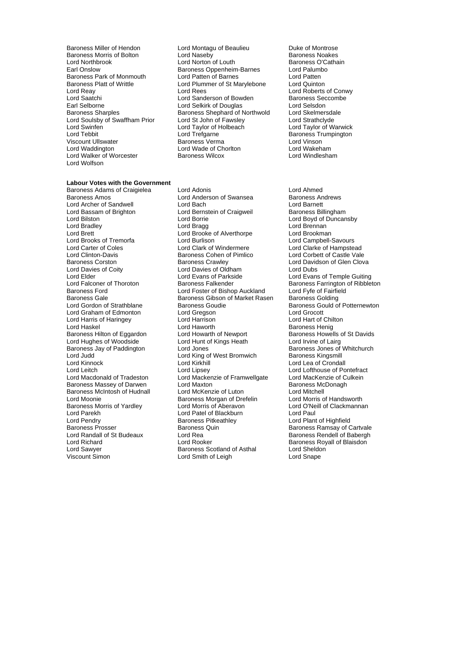- Baroness Platt of Writtle Lord Plummer of St Marylebone<br>
Lord Reav<br>
Lord Rees Lord Swinfen **Lord Taylor of Holbeach Lord Teb**<br>
Lord Tebbit Lord Trefgarne Lord Walker of Worcester Lord Wolfson
- Baroness Miller of Hendon Lord Montagu of Beaulieu Duke of Montrose<br>
Baroness Morris of Bolton Lord Naseby Corpus Baroness Noakes Baroness Morris of Bolton **Lord Naseby Container Container Baroness Noakes**<br>
Lord North Lord Norton of Louth **Baroness O'Cathain** Lord Northbrook Lord Norton of Louth Baroness O'Cathain Baroness O'Cathain Baroness O'Cathain Baroness O'Cathain Baroness O'Cathain Baroness C'Cathain Baroness O'Cathain Baroness O'Cathain Baroness O'Cathain Baroness O'Cat Earoness Oppenheim-Barnes<br>
Lord Palumbor Barnes<br>
Lord Patten Baroness Park of Monmouth Lord Patten of Barnes Lord Patten Lord Patten<br>Baroness Platt of Writtle Lord Plummer of St Marylebone Lord Quinton Lord Reay Lord Reas Lord Reas Lord Reas Lord Reas Lord Roberts of Conwy<br>Lord Saatchi Lord Sanderson of Bowden Baroness Seccombe Lord Saatchi Lord Sanderson of Bowden Baroness Seccombe Earl Selborne **Lord Selkirk of Douglas** Cord Selsdon<br>
Baroness Sharples **Baroness Shephard of Northwold** Lord Skelmersdale Baroness Shephard of Northwold Lord Soulsby of Swaffham Prior Lord St John of Fawsley Lord Strathclyde<br>Lord Swinfen Lord Taylor Cord Taylor of Holbeach Lord Taylor of Warwick Lord Tebbit Lord Trefgarne and the Baroness Trumpington<br>
Viscount Ullswater About Baroness Verma March Lord Vinson Exaroness Verma **Lord Vinson**<br>
Lord Wade of Choriton<br>
Lord Wakeham Lord Waddington Lord Wade of Chorlton Lord Wakeham
	-

### **Labour Votes with the Government**

Lord Brooks of Tremorfa Lord Clinton-Davis **Baroness Cohen of Pimlico**<br>Baroness Corston **Baroness Crawley** Lord Harris of Haringey Lord Hughes of Woodside<br>Baroness Jay of Paddington Lord Judd Lord King of West Bromwich<br>Lord Kinnock Lord Kingsmill Baroness Morris of Yardley

Baroness Adams of Craigielea Lord Adonis Lord Ahmed Baroness Amos<br>
Lord Anderson of Swansea Baroness Andrews<br>
Lord Archer of Sandwell **Lord Baroness** Lord Barnett Lord Archer of Sandwell Lord Bach Lord Barnett Lord Bernstein of Craigweil Lord Bilston Lord Borrie Lord Boyd of Duncansby Lord Bradley Lord Bragg Lord Brennan Lord Brooke of Alverthorpe Lord Brookman<br>
Lord Burlison Lord Campbell-Savours Lord Carter of Coles<br>
Lord Clarke of Hampstead<br>
Lord Clinton-Davis<br>
Baroness Cohen of Pimlico<br>
Lord Corbett of Castle Vale Baroness Corston **Baroness Corston Baroness Crawley** Lord Davidson of Glen Clova<br>
Lord Davies of Coity Lord Davies of Oldham<br>
Lord Davies of Lord Davies of Oldham Lord Davies of Oldham Lord Dubs Lord Elder Lord Evans of Parkside Lord Evans of Temple Guiting<br>
Lord Ealconer of Thoroton Baroness Falkender Corporation of Ribblet Lord Falconer of Thoroton Baroness Falkender Baroness Farrington of Ribbleton<br>Baroness Ford Bishop Auckland Lord Fyfe of Fairfield **Lord Foster of Bishop Auckland** Baroness Gale Baroness Gibson of Market Rasen Baroness Golding<br>Lord Gordon of Strathblane Baroness Goudie Baroness Gould o Exercise Baroness Goudie Baroness Gould of Potternewton<br>
Lord Greeson<br>
Lord Grocott Lord Graham of Edmonton Lord Gregson Lord Grocott Lord Haskel Lord Haworth Lord Haworth Charless Henig<br>
Baroness Hilton of Eqgardon Lord Howarth of Newport Baroness Howell Lord Howarth of Newport Baroness Howells of St Davids<br>
Lord Hunt of Kings Heath Lord Irvine of Lairg Lord Hughes of Woodside<br>
Baroness Jay of Paddington Lord June Lord August 2012<br>
Lord June Baroness Jones of Whitchurch<br>
Lord Judd Lord June Cord King of West Bromwich Baroness Kingsmill Lord Kirkhill **Lord Lea of Crondall**<br>
Lord Lipsey **Lord Lofthouse of Po** Lord Leitch Lord Lipsey Lord Lofthouse of Pontefract Lord Macdonald of Tradeston Lord Mackenzie of Framwellgate Lord MacKenzie of Culkein<br>Baroness Massey of Darwen Lord Maxton Cord Maxton Baroness McDonagh Baroness Massey of Darwen Lord Maxton Lord Communist Communist Baroness Mc<br>Baroness McIntosh of Hudnall Lord McKenzie of Luton Lord Mitchell Baroness McIntosh of Hudnall Lord McKenzie of Luton<br>
Lord Monie Lord McCenzie of Luton Lord Mitchell<br>
Lord Monie Baroness Morgan of Drefelin Lord Morris of Handsworth **Example Baroness Morgan of Drefelin**<br>
Lord Morris of Aberavon<br>
Lord O'Neill of Clackmannan Lord Parekh Lord Patel of Blackburn Lord Paul<br>
Lord Pendry Cord Patel of Baroness Pitkeathley Lord Plant Baroness Prosser **Baroness Access** Baroness Quin Baroness Ramsay of Cartvale<br>1991 Lord Ramsay Corporation Carty Access Rendell of Babergh Lord Randall of St Budeaux Lord Rea Baroness Rendell of Babergh<br>Lord Richard Lord Rooker Baroness Royall of Blaisdon Lord Sawyer **Baroness Scotland of Asthal** Lord Sheldoness Scotland of Asthal Lord Sheldoness Scotland of Asthal Lord Sheldoness Scotland of Asthal Lord Shape Lord Smith of Leigh

Lord Plant of Highfield Baroness Royall of Blaisdon<br>Lord Sheldon